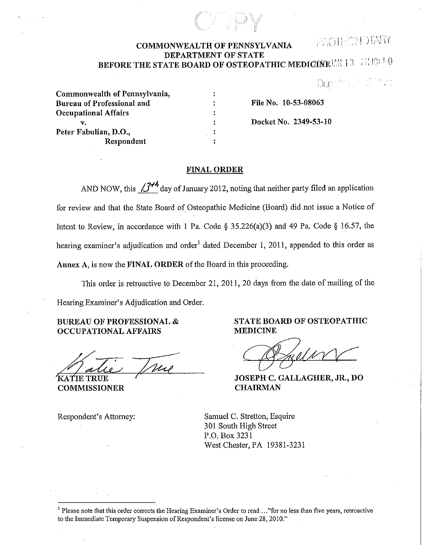## **COMMONWEALTH OF PENNSYLVANIA** PROTHONDIARY **DEPARTMENT OF STATE BEFORE THE STATE BOARD OF OSTEOPATHIC MEDICINE JAN 13**  $\#$ **:::: 1:::::: 1::**

 $\left[\bigcup_{i=1}^n\bigcap_{i=1}^{n+1}\bigcap_{i=1}^{n+1}\bigcap_{i=1}^{n+1}\bigcap_{i=1}^{n+1}\bigcap_{i=1}^{n+1}\bigcap_{i=1}^{n+1}\bigcap_{i=1}^{n+1}\bigcap_{i=1}^{n+1}\bigcap_{i=1}^{n+1}\bigcap_{i=1}^{n+1}\bigcap_{i=1}^{n+1}\bigcap_{i=1}^{n+1}\bigcap_{i=1}^{n+1}\bigcap_{i=1}^{n+1}\bigcap_{i=1}^{n+1}\bigcap_{i=1}^{n+1}\bigcap_{i=1}^{n+1}\bigcap_{$ 

| Commonwealth of Pennsylvania, |
|-------------------------------|
| Bureau of Professional and    |
| <b>Occupational Affairs</b>   |
| v.                            |
| Peter Fabulian, D.O.,         |
| Respondent                    |

**File** No. **10-53-08063 Docket** No. **2349-53-10** 

#### **FINAL ORDER**

AND NOW, this  $37^{\frac{1}{2}}$  day of January 2012, noting that neither party filed an application for review and that the State Board of Osteopathic Medicine (Board) did not issue a Notice of Intent to Review, in accordance with **1** Pa. Code § 35.226(a)(3) and 49 Pa. Code § 16.57, the hearing examiner's adjudication and order<sup>1</sup> dated December 1, 2011, appended to this order as **Annex A,** is now the **FINAL ORDER** of the Board in this proceeding.

This order is retroactive to December 21, 2011, 20 days from the date of mailing of the Hearing Examiner's Adjudication and Order.

**BUREAU OF PROFESSIONAL** & **OCCUPATIONAL AFFAIRS** 

mo

KATIE TRUE **COMMISSIONER** 

Respondent's Attorney:

**STATE BOARD OF OSTEOPATHIC MEDICINE** 

**JOSEPH C. GALLAGHER, JR., DO CHAIRMAN** 

Samuel C. Stretton, Esquire 301 South High Street P.O. Box 3231 West Chester, PA 19381-3231

<sup>&</sup>lt;sup>1</sup> Please note that this order corrects the Hearing Examiner's Order to read ..." for no less than five years, retroactive to the Immediate Temporary Suspension of Respondent's license on June 28, 2010."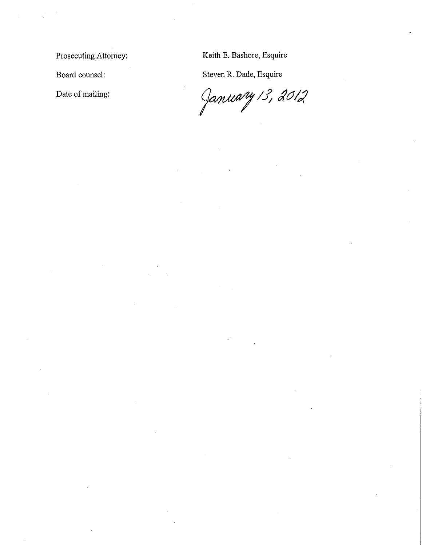Prosecuting Attorney:

Board counsel:

Date of mailing:

Keith E. Bashore, Esquire

Steven R. Dade, Esquire

January 13, 2012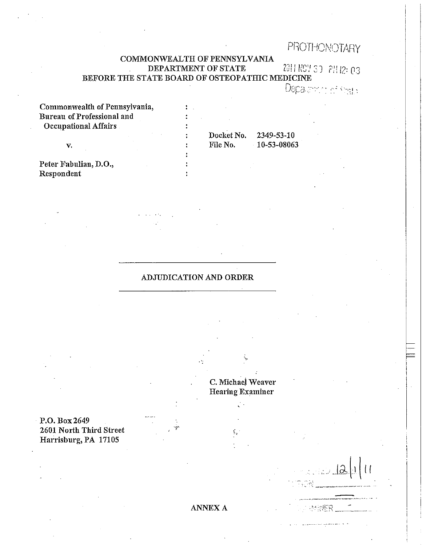# PROTHONOTARY

## COMMONWEALTH OF PENNSYLVANIA **DEPARTMENT OF STATE**  $2311 R97 37 P11 2: 03$ BEFORE THE STATE BOARD OF OSTEOPATHIC MEDICINE

Depalation of steph-

 $1241$ 

| Commonwealth of Pennsylvania, |            |                    |  |
|-------------------------------|------------|--------------------|--|
| Bureau of Professional and    |            |                    |  |
| <b>Occupational Affairs</b>   |            |                    |  |
|                               | Docket No. | 2349-53-10         |  |
| v.                            | File No.   | $-10 - 53 - 08063$ |  |
|                               |            |                    |  |
| Peter Fabulian, D.O.,         |            |                    |  |
| Respondent                    |            |                    |  |

## ADJUDICATION AND ORDER

P.O. Box 2649 2601 North Third Street Harrisburg, PA 17105

C. Michaej Weaver Hearing Examiner

> ( . ,-~

ANNEXA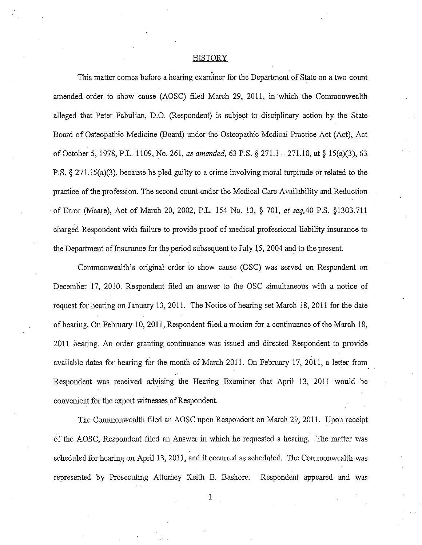#### HISTORY

This matter comes before a hearing examiner for the Department of State on a two count amended order to show cause (AOSC) filed March 29, 2011, in which the Commonwealth alleged that Peter Fabulian, D.O. (Respondent) is subject to disciplinary action by the State Board of Osteopathic Medicine (Board) under the Osteopathic Medical Practice Act (Act), Act of October 5, 1978, P.L. 1109, No. 261, *as amended,* 63 P.S. § 271.1-271.18, at§ 15(a)(3), 63 P.S. § 271.15(a)(3), because he pled guilty to a crime involving moral turpitude or related to the practice of the profession. The second count under the Medical Care Availability and Reduction ·of Error (Mcare), Act of March 20, 2002, P.L. 154 No. 13, § 701, *et seq,40* P.S. §1303.711 charged Respondent with failure to provide proof of medical professional liability insurance to the Department of Insurance for the period subsequent to July 15, 2004 and to the present.

Commonwealth's original order to show cause (OSC) was served on Respondent on December 17, 2010. Respondent filed an answer to the OSC simultaneous with a notice of request for hearing on January 13,2011. The Notice of hearing set March 18,2011 for the date of hearing. On February 10, 2011, Respondent filed a motion for a continuance of the March 18, 2011 hearing. An order granting continuance was issued and directed Respondent to provide available dates for hearing for the month of March 2011. On February 17, 2011, a letter from Respondent was received advising the Hearing Examiner that April 13, 2011 would be convenient for the expert witnesses of Respondent.

The Commonwealth filed an AOSC upon Respondent on March 29, 2011. Upon receipt of the AOSC, Respondent filed an Answer in which he requested a hearing. The matter was scheduled for hearing on April 13, 2011, and it occurred as scheduled. The Commonwealth was represented by Prosecuting Attorney Keith E. Bashore. Respondent appeared and was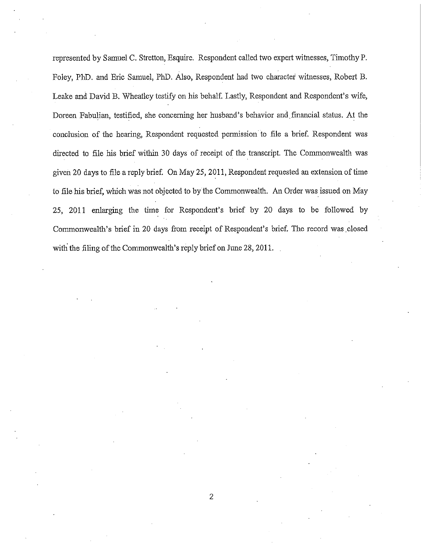represented by Samuel C. Stretton, Esquire. Respondent called two expert witnesses, Timothy P. Foley, PhD. and Eric Samuel, PhD. Also, Respondent bad two character witnesses, Robert B. Leake and David B. Wheatley testify on his behalf. Lastly, Respondent and Respondent's wife, Doreen Fabulian, testified, she concerning her husband's behavior and.fmancial status. At the conclusion of the hearing, Respondent requested permission to file a brief. Respondent was directed to file his brief within 30 days of receipt of the transcript. The Commonwealth was <sup>g</sup>iven 20 days to file a reply brief. On May 25,2011, Respondent requested an extension of time to file his brief, which was not objected to by the Commonwealth. An Order was issued on May 25, 2011 enlarging the time for Respondent's brief by 20 days to be followed by Commonwealth's brief in 20 days from receipt of Respondent's brief. The record was .closed with the filing of the Commonwealth's reply brief on June 28, 2011.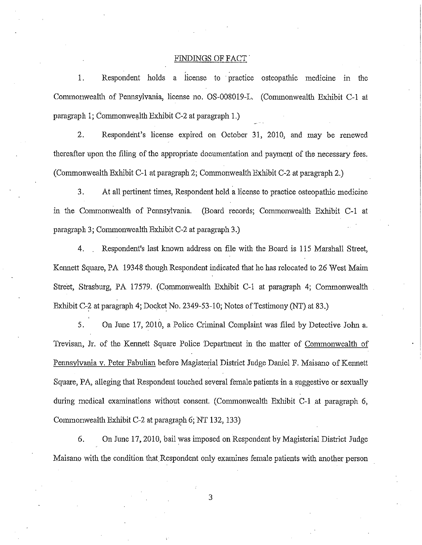#### FINDINGS OF FACT

. . 1. Respondent holds a license to · practice osteopathic medicine in the Commonwealth of Pennsylvania, license no. OS-008019-L. (Commonwealth Exhibit C-1 at paragraph 1; Commonwealth Exhibit C-2 at paragraph 1.)

2. Respondent's license expired on October 31, 2010, and may be renewed thereafter upon the filing of the appropriate documentation and payment of the necessary fees. (Commonwealth Exhibit C-1 at paragraph 2; Commonwealth Exhibit C-2 at paragraph 2.)

3. At all pertinent times, Respondent held a license to practice osteopathic medicine m the Commonwealth of Pennsylvania. (Board records; Commonwealth Exhibit C-1 at paragraph 3; Commonwealth Exhibit C-2 at paragraph 3.)

4. Respondent's last known address on file with the Board is 115 Marshall Street, Kennett Square, PA 19348 though Respondent indicated that he has relocated to 26 West Maim Street, Strasburg, PA 17579. (Commonwealth Exhibit C-1 at paragraph 4; Commonwealth Exhibit C-2 at paragraph 4; Docket No. 2349-53-10; Notes of Testimony (NT) at 83.)

5. On June 17, 2010, a Police Criminal Complaint was filed by Detective John a. Trevisan, Jr. of the Kennett Square Police Department in the matter of Commonwealth of Pennsylvania v. Peter Fabulian before Magisterial District Judge Daniel F. Maisano of Kennett Square, PA, alleging that Respondent touched several female patients in a suggestive or sexually during medical examinations without consent. (Commonwealth Exhibit C-1 at paragraph 6, Commonwealth Exhibit C-2 at paragraph 6; NT 132, 133)

6. On June 17,2010, bail was imposed on Respondent by Magisterial District Judge Maisano with the condition that Respondent only examines female patients with another person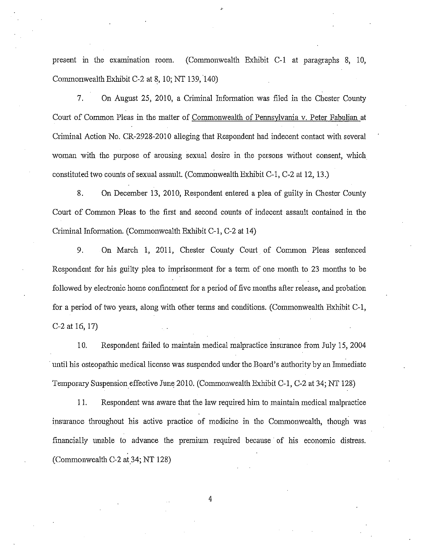present in the examination room. (Commonwealth Exhibit C-1 at paragraphs 8, 10, Commonwealth Exhibit C-2 at 8, 10; NT 139, 140)

,.

7. On August 25, 2010, a Criminal Information was filed in the Chester County Court of Common Pleas in the matter of Commonwealth of Pennsylvania v. Peter Fabulian at Criminal Action No. CR-2928-2010 alleging that Respondent had indecent contact with several woman with the purpose of arousing sexual desire in the persons without consent, which constituted two counts of sexual assault. (Commonwealth Exhibit C-1, C-2 at 12, 13.)

8. On December 13, 2010, Respondent entered a plea of guilty in Chester County Court of Common Pleas to the first and second counts of indecent assault contained in the Criminal Information. (Commonwealth Exhibit C-1, C-2 at 14)

9. On March 1, 2011, Chester County Court of Common Pleas sentenced Respondent for his guilty plea to imprisonment for a term of one month to 23 months to be followed by electronic home confinement for a period of five months after release, and probation for a period of two years, along with other terms and conditions. (Commonwealth Exhibit C-1, C-2 at 16, 17)

10. Respondent failed to maintain medical malpractice insurance from July 15, 2004 until his osteopathic medical license was suspended under the Board's authority by an Immediate Temporary Suspension effective June 2010. (Commonwealth Exhibit C-1, C-2 at 34; NT 128)

11. Respondent was aware that the law required him to maintain medical malpractice insurance throughout his active practice of medicine in the Commonwealth, though was financially unable to advance the premium required because of his economic distress. (Commonwealth C-2 at 34; NT 128)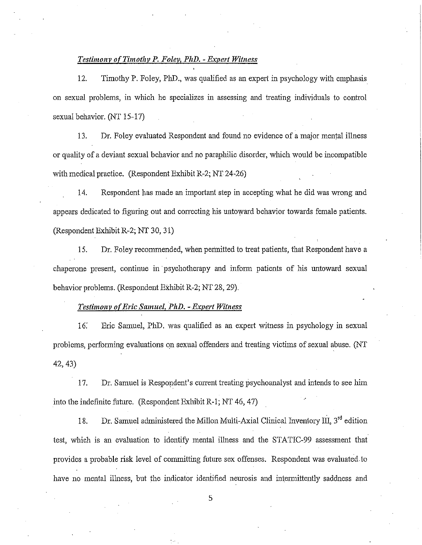#### *Testimony of Timothy P. Foley, PhD.- Expert Witness*

12. Timothy P. Foley, PhD., was qualified as an expert in psychology with emphasis on sexual problems, in which he specializes in assessing and treating individuals to control sexual behavior. (NT 15-17)

13. Dr. Foley evaluated Respondent and found no evidence of a major mental illness or quality of a deviant sexual behavior and no paraphilic disorder, which would be incompatible with medical practice. (Respondent Exhibit R-2; NT 24-26)

14. Respondent has made an important step in accepting what he did was wrong and appears dedicated to figuring out and correcting his untoward behavior towards female patients. (RespondentExhibitR-2; NT 30, 31)

15. Dr. Foley recommended, when permitted to treat patients, that Respondent have a chaperone present, continue in psychotherapy and inform patients of his untoward sexual behavior problems. (Respondent EXhibit R-2; NT 28, 29).

#### *Testimony o(Eric Samuel, PhD. -Expert Witness*

16: Eric Samuel, PhD. was qualified as an expert witness in psychology in sexual problems, performing evaluations on sexual offenders and treating victims of sexual abuse. (NT 42, 43)

17. Dr. Samuel is Respondent's current treating psychoanalyst and intends to see him into the indefinite future. (Respondent Exhibit R-1; NT 46, 47)

18. Dr. Samuel administered the Millon Multi-Axial Clinical Inventory III,  $3^{rd}$  edition test, which is an evaluation to identify mental illness and the STATIC-99 assessment that provides a probable risk level of committing future sex offenses. Respondent was evaluated to have no mental illness, but the indicator identified neurosis and intermittently saddness and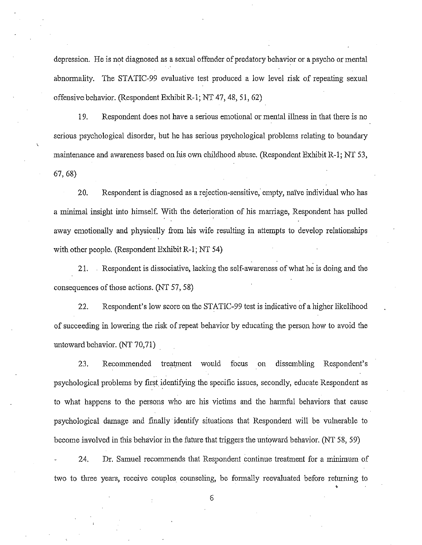depression. He is not diagnosed as a sexual offender of predatory behavior or a psycho or mental abnormality. The STATIC-99 evaluative test produced a low level risk of repeating sexual offensive behavior. (Respondent Exhibit R-1; NT 47, 48, 51, 62)

19. Respondent does not have a serious emotional or mental illness in that there is no serious psychological disorder, but he has serious psychological problems relating to boundary maintenance and awareness based on his own childhood abuse. (Respondent Exhibit R-1; NT 53, 67, 68)

20. Respondent is diagnosed as a rejection-sensitive, empty, naive individual who has a minimal insight into himself. With the deterioration of his marriage, Respondent has pulled away emotionally and physically from his wife resulting in attempts to develop relationships with other people. (Respondent Exhibit R-1; NT 54)

21. Respondent is dissociative, lacking the self-awareness of what he is doing and the consequences of those actions. (NT 57, 58)

22. Respondent's low score on the STATIC-99 test is indicative of a higher likelihood of succeeding in lowering the risk of repeat behavior by educating the person how to avoid the untoward behavior. (NT 70,71)

23. Recommended treatment would focus on dissembling Respondent's psychological problems by first. identifying the specific issues, secondly, educate Respondent as to what happens to the persons who are his victims and the harmful behaviors that cause psychological damage and finally identify situations that Respondent will be vulnerable to become involved in this behavior in the future that triggers the untoward behavior. (NT 58, 59)

24. Dr. Samuel recommends that Respondent continue treatment for a minimum of two to three years, receive couples counseling, be formally reevaluated before retunring to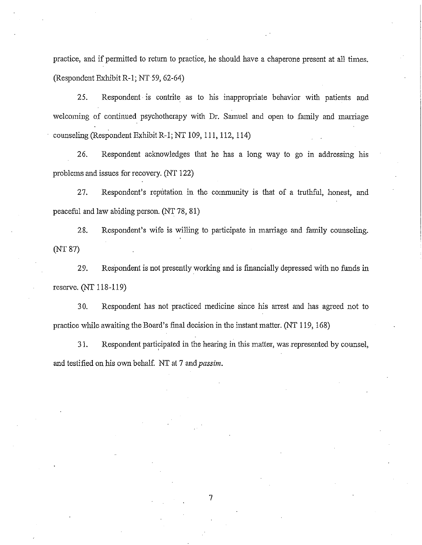practice, and if permitted to return to practice, he should have a chaperone present at all times. (Respondent Exhibit R-1; NT 59, 62-64)

25. Respondent is contrite as to his inappropriate behavior with patients and welcoming of continued psychotherapy with Dr. Samuel and open to family and marriage counseling (Respondent Exhibit R-1; NT 109, 111, 112, 114)

26. Respondent acknowledges that he has a long way to go in addressing his problems and issues for recovery. (NT 122)

27. Respondent's reputation in the community is that of a truthful, honest, and peaceful and law abiding person. (NT 78, 81)

28. Respondent's wife is willing to participate in marriage and family counseling. (NT 87)

29. Respondent is not presently working and is financially depressed with no funds in reserve. (NT 118-119)

30. Respondent has not practiced medicine since his arrest and has agreed not to practice wlule awaiting the Board's final decision in the instant matter. (NT 119, 168)

31. Respondent participated in the hearing in this matter, was represented by counsel, and testified on his own behalf. NT at 7 and *passim.*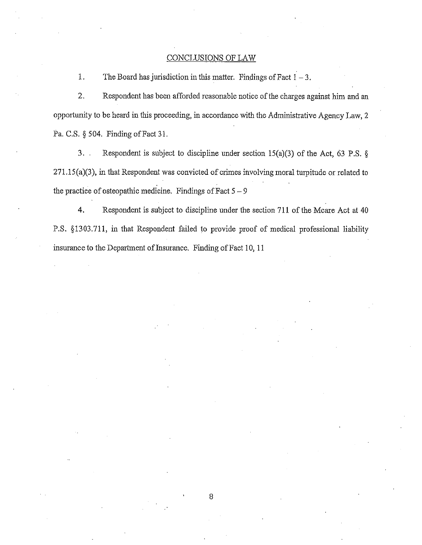#### CONCLUSIONS OF LAW

1. The Board has jurisdiction in this matter. Findings of Fact  $1 - 3$ .

2. Respondent has been afforded reasonable notice of the charges against him and an opportunity to be heard in this proceeding, in accordance with the Administrative Agency Law, 2 Pa. C.S. § 504. Finding of Fact 31.

3. Respondent is subject to discipline under section 15(a)(3) of the Act, 63 P.S. § 271.15(a)(3), in that Respondent was convicted of crimes involving moral turpitude or related to the practice of osteopathic medicine. Findings of Fact  $5 - 9$ 

**4.** Respondent is subject to discipline under the section **711** of the Mcare Act at 40 P.S. §1303.711, in that Respondent failed to provide proof of medical professional liability insurance to the Department of Insurance. Finding of Fact 10, 11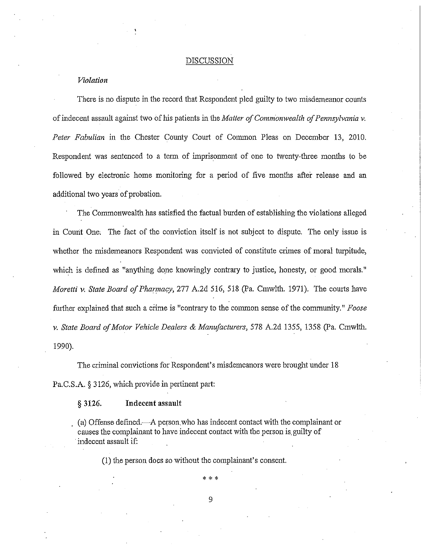#### DISCUSSION

#### *Violation*

There is no dispute in the record that Respondent pled guilty to two misdemeanor counts of indecent assault against two of his patients in the *Matter of Commonwealth of Pennsylvania v.*  Peter Fabulian in the Chester County Court of Common Pleas on December 13, 2010. Respondent was sentenced to a term of imprisonment of one to twenty-three months to be followed by electronic home monitoring for a period of five months after release and an additional two years of probation.

The Commonwealth has satisfied the factual burden of establishing the violations alleged in Comit One: The fact of the conviction itself is not subject to dispute. The only issue is whether the misdemeanors Respondent was convicted of constitute crimes of moral turpitude, which is defined as "anything done knowingly contrary to justice, honesty, or good morals." *Moretti v. State Board of Pharmacy,* 277 A.2d 516, 518 (Pa. Cmwlth. 1971). The courts have further explained that such a crime is "contrary to the common sense of the community." *Foose v. State Board of Motor Vehicle Dealers* & *Manufacturers,* 578 A.2d 1355, 1358 (Pa. Cmwlth. 1990).

The criminal convictions for Respondent's misdemeanors were brought under 18 Pa.C.S.A. § 3126, which provide in pertinent part:

§ **3126. Indecent assault** 

(a) Offense defined.—A person who has indecent contact with the complainant or causes the complainant to have indecent contact with the person is. guilty of ·indecent assault if:

(1) the person does so without the complainant's consent.

\* \* \*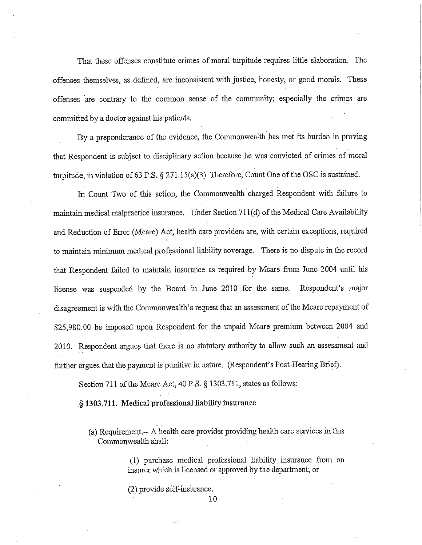That these offenses constitute crimes of moral turpitude requires little elaboration. The offenses themselves, as defined, are inconsistent with justice, honesty, or good morals. These offenses are contrary to the common sense of the community; especially the crimes are connnitted by a doctor against his patients.

By a preponderance of the evidence, the Commonwealth has met its burden in proving that Respondent is subject to disciplinary action because he was convicted of crimes of moral turpitude, in violation of 63 P.S.  $\S 271.15(a)(3)$  Therefore, Count One of the OSC is sustained.

In Count Two of this action, the Commonwealth charged Respondent with failure to maintain medical malpractice insurance. Under Section 711 (d) of the Medical Care Availability and Reduction of Error (Mcare) Act, health care providers are, with certain exceptions, required to maintain minimum medical professional liability coverage. There is no dispute in the record that Respondent failed to maintain insurance as required by Mcare from June 2004 until his license was suspended by the Board in June 2010 for the same. Respondent's major disagreement is with the Commonwealth's request that an assessment of the Mcare repayment of \$25,980.00 be imposed upon Respondent for the unpaid Mcare premium between 2004 and 2010. Respondent argues that there is no statutory authority to allow such an assessment and further argues that the payment is punitive in nature. (Respondent's Post-Hearing Brief).

Section 711 of the Mcare Act, 40 P.S. § 1303.711, states as follows:

§ **1303.711. Medical professional liability insurance** 

(a) Requirement.-- A health care provider providing health care services in this Commonwealth shall:

> (1) purchase medical professional liability insurance from an insurer which is licensed or approved by the department; or

(2) provide self-insurance.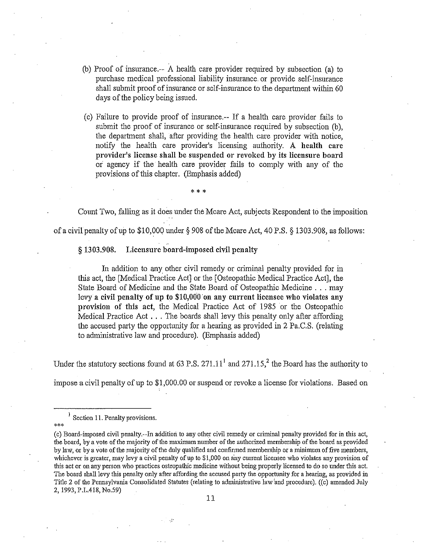- (b) Proof of insurance.-- A health care provider required by subsection (a) to purchase medical professional liability insurance or provide self-insurance shall submit proof of insurance or self-insurance to the department within 60 days of the policy being issued.
- (c) Failure to provide proof of insurance.-- If a health care provider fails to submit the proof of insurance or self-insurance required by subsection (b), the department shall, after providing the health care provider with notice, notify the health care provider's licensing authority. A **health care provider's license shall be suspended or revoked by its licensure board**  *oi* agency if the health care provider fails to comply with any of the provisions of this chapter. (Emphasis added)

Count Two, falling as it does under the Mcare Act, subjects Respondent to the imposition of a civil penalty of up to \$10,000 under§ 908 of the Mcare Act, 40 P.S. § 1303.908, as follows:

\*\*\*

§ **1303.908. Licensure board-imposed civil penalty** 

In addition to any other civil remedy or criminal penalty provided for in this act, the [Medical Practice Act] or the [Osteopathic Medical Practice Act], the State Board of Medicine and the State Board of Osteopathic Medicine ... may levy a civil penalty of up to \$10,000 on any current licensee who violates any **provision of this act,** the Medical Practice Act of 1985 or the Osteopathic Medical Practice Act ... The boards shall levy this penalty only after affording the accused party the opportunity for a hearing as provided in 2 Pa.C.S. (relating to administrative law and procedure). (Emphasis added)

Under the statutory sections found at 63 P.S.  $271.11<sup>1</sup>$  and  $271.15$ ,<sup>2</sup> the Board has the authority to

impose a civil penalty of up to \$1,000.00 or suspend or revoke a license for violations. Based on

<sup>&</sup>lt;sup>1</sup> Section 11. Penalty provisions.

<sup>\*\*\*</sup>  (c) Board-imposed civil penalty.--In addition to any other civil remedy or criminal penalty provided for in this act, the board, by a vote of the majority of the maximum number of the authorized membership of the board as provided by law, or by a vote of the majority of the duly qualified and confirmed membership or a minimum of five members, whichever is greater, may levy a civil penalty of up to  $$1,000$  on any current licensee who violates any provision of this act or on any person who practices osteopathic medicine without being properly licensed to do so under this act. The board shall levy this penalty only after affording the accused party the opportunity for a hearing, as provided in Title 2 of the Pennsylvania Consolidated Statutes (relating to administrative law and procedure). ((c) amended July 2, 1993, P.L.418, No.59)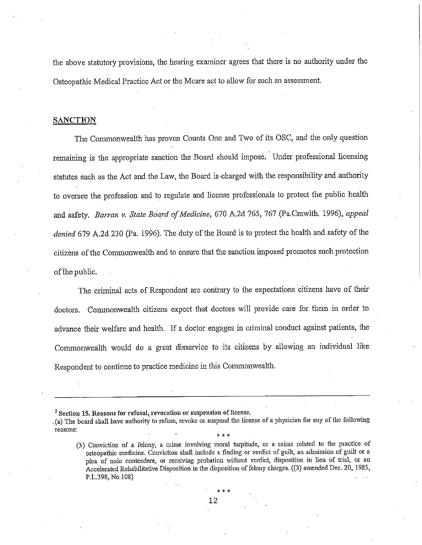the above statutory provisions, the hearing examiner agrees that there is no authority under the Osteopathic Medical Practice Act or the Mcare act to allow for such an assessment.

#### **SANCTION**

The Commonwealth has proven Counts One and Two of its OSC, and the only question remaining is the appropriate sanction the Board should impose. Under professional licensing statutes such as the Act and the Law, the Board is .charged with the responsibility and authority to oversee the profession and to regulate and license professionals to protect the public health and safety. *Barran v. State Board of Medicine,* 670 A.2d 765, 767 (Pa.Cmwlth. 1996), *appea<sup>l</sup> denied* 679 A.2d 230 (Pa. 1996). The duty of the Board is to protect the health and safety of the citizens of the Commonwealth and to ensure that the sanction imposed promotes such protection of the public.

The criminal acts of Respondent are contrary to the expectations citizens have of their doctors. Commonwealth citizens expect that doctors will provide care for them in order to advance their welfare and health. If a doctor engages in criminal conduct against patients, the Commonwealth would do a great disservice to its citizens by allowing an individual like Respondent to continue to practice medicine in this Commonwealth.

<sup>2</sup>**Section 15. Reasons for refusal, revocation or suspension of license .** 

<sup>. (</sup>a) The board shall have authority to refuse, revoke or suspend the license of a physician for any of the following **reasons:** 

<sup>\* \* \*</sup>  (3) Conviction of a felony, a crime involving moral turpitude, or a crime related to the practice of osteopathic medicine. Conviction shall include a finding or verdict of guilt, an admission of guilt or a **<sup>p</sup>lea of nolo contendere, or receiving probation without verdict, disposition in lieu of tiial, or an**  Accelerated Rehabilitative Disposition in the disposition of felony charges. ((3) amended Dec. 20, 1985, P.L.398, No.l08)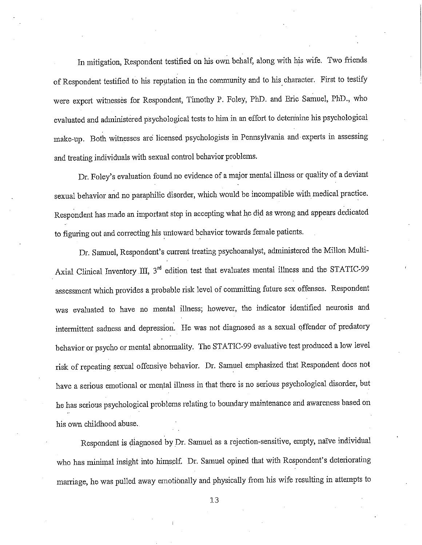In mitigation, Respondent testified on his own behalf, along with his wife. Two friends of Respondent testified to his reputation in the community and to his character. First to testify were expert witnesses for Respondent, Timothy P. Foley, PhD. and Eric Samuel, PhD., who evaluated and administered psychological tests to him in an effort to determine his psychological make-up. Both witnesses are licensed psychologists in Pennsylvania and experts in assessing and treating individuals with sexual control behavior problems.

Dr. Foley's evaluation found no evidence of a major mental illness or quality of a deviant sexual behavior and no paraphilic disorder, which would be incompatible with medical practice. Respondent has made an important step in accepting what he did as wrong and appears dedicated to figuring out and correcting his untoward behavior towards female patients.

Dr. Samuel, Respondent's current treating psychoanalyst, administered the Millon Multi-Axial Clinical Inventory III, 3<sup>rd</sup> edition test that evaluates mental illness and the STATIC-99 assessment which provides a probable risk level of committing future sex offenses. Respondent was evaluated to have no mental illness; however, the indicator identified neurosis and intermittent sadness and depression. He was not diagnosed as a sexual offender of predatory behavior or psycho or mental abnormality. The STATIC-99 evaluative test produced a low level risk of repeating sexual offensive behavior. Dr. Samuel emphasized that Respondent does not have a serious emotional or mental illness in that there is no serious psychological disorder, but he has serious psychological problems relating to boundary maintenance and awareness based on his own childhood abuse.

Respondent is diagnosed by Dr. Samuel as a rejection-sensitive, empty, naïve individual who has minimal insight into himself. Dr. Samuel opined that with Respondent's deteriorating marriage, he was pulled away emotionally and physically from his wife resulting in attempts to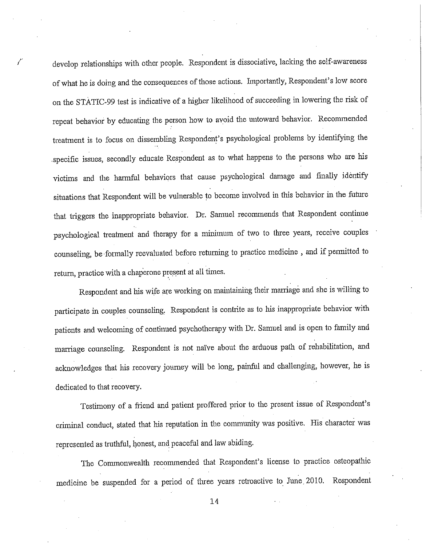develop relationships with other people. Respondent is dissociative, lacking the self-awareness of what he is doing and the consequences of those actions. Importantly, Respondent's low score on the STATIC-99 test is indicative of a higher likelihood of succeeding in lowering the risk of repeat behavior by educating the person how to avoid the untoward behavior. Reconnnended treatment is to focus on dissembling Respondent's psychological problems by identifying the .specific issues, secondly educate Respondent as to what happens to the persons who are his victims and the harmful behaviors that cause psychological damage and finally identify situations that Respondent will be vulnerable to become involved in this behavior in the future that triggers the inappropriate behavior. Dr. Samuel recommends that Respondent continue psychological treatment and therapy for a minimum of two to three years, receive couples counseling, be formally reevaluated before returning to practice medicine , and if permitted to return, practice with a chaperone present at all times.

Respondent and his wife are working on maintaining their marriage and she is willing to participate in couples counseling, Respondent is contrite as to his inappropriate behavior with patients and welcoming of continued psychotherapy with Dr. Samuel and is open to family and marriage counseling. Respondent is not naïve about the arduous path of rehabilitation, and acknowledges that his recovery journey will be long, painful and challenging, however, he is dedicated to that recovery.

Testimony of a friend and patient proffered prior to the present issue of Respondent's criminal conduct, stated that his reputation in the connnunity was positive. His character was represented as truthful, honest, and peaceful and law abiding.

The Commonwealth reconnnended that Respondent's license to practice osteopathic medicine be suspended for a period of three years retroactive to June 2010. Respondent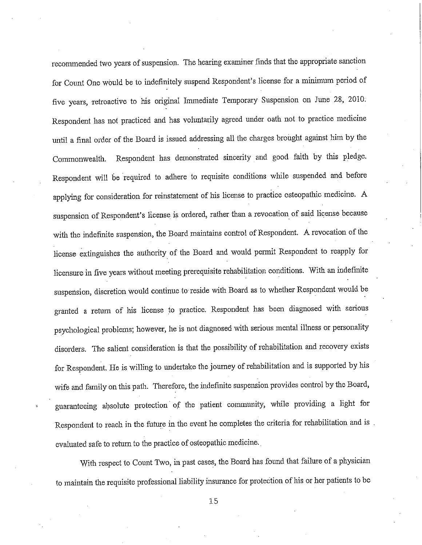recommended two years of suspension. The hearing examiner fmds that the appropriate sanction for Count One would be to indefinitely suspend Respondent's license for a minimum period of five years, retroactive to his original Immediate Temporary Suspension on June 28, 2010: Respondent has not practiced and has voluntarily agreed under oath not to practice medicine until a final order of the Board is issued addressing all the charges brought against him by the Commonwealth. Respondent has demonstrated sincerity and good faith by this pledge. Respondent will he required to adhere to requisite conditions while suspended and before applying for consideration for reinstatement of his license to practice osteopathic medicine. A suspension of Respondent's license is ordered, rather than a revocation of said license because with the indefinite suspension, the Board maintains control of Respondent. A revocation of the license extinguishes the authority of the Board and would permit Respondent to reapply for licensure in five years without meeting prerequisite rehabilitation conditions. With an indefinite suspension, discretion would continue to· reside with Board as to whether Respondent would be granted a return of his license to practice. Respondent has been diagnosed with serious psychological problems; however, he is not diagnosed with serious mental illness or personality disorders. The salient consideration is that the possibility of rehabilitation and recovery exists for Respondent. He is willing to undertake the journey of rehabilitation and is supported by his wife and family on this path. Therefore, the indefinite suspension provides control by the Board, guaranteeing absolute protection· of the patient community, while providing a light for Respondent to reach in the future in the event he completes the criteria for rehabilitation and is . evaluated safe to return to the practice of osteopathic medicine ..

With respect to Count Two, in past cases, the Board has found that failure of a physician to maintain the requisite professional liability insurance for protection of his or her patients to be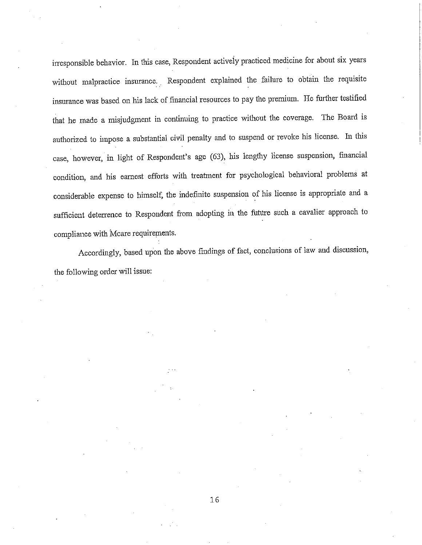irresponsible behavior. In this case, Respondent activeiy practiced medicine for about six years without malpractice insurance. Respondent explained the failure to obtain the requisite insurance was based on his lack of financial resources to pay the premium. He further testified that he made a misjudgment in continuing to practice without the coverage. The Board is authorized to impose a substantial civil penalty and to suspend or revoke his license. In this case, however, in light of Respondent's age (63), his lengthy license suspension, financial condition, and his earnest efforts with treatment for psychological behavioral problems at considerable expense to himself, the indefinite suspension of his license is appropriate and <sup>a</sup> sufficient deterrence to Respondent from adopting in the future such a cavalier approach to compliance with Mcare requirements.

Accordingly, based upon the above findings of fact, conclusions of law and discussion, the following order will issue: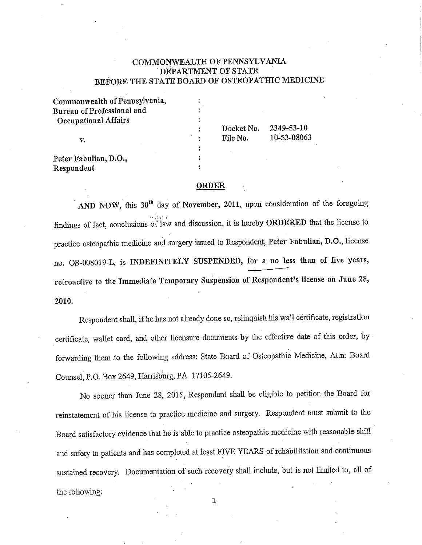### COMMONWEALTH OF PENNSYLVANIA DEPARTMENT OF STATE BEFORE THE STATE BOARD OF OSTEOPATHIC MEDICINE

| Commonwealth of Pennsylvania, |            |             |
|-------------------------------|------------|-------------|
| Bureau of Professional and    |            |             |
| Occupational Affairs<br>v.    |            |             |
|                               | Docket No. | 2349-53-10  |
|                               | File No.   | 10-53-08063 |
|                               |            |             |
| Peter Fabulian, D.O.,         |            |             |
| Respondent                    |            |             |

#### ORDER

AND NOW, this  $30<sup>th</sup>$  day of November, 2011, upon consideration of the foregoing findings of fact, conclusions of law and discussion, it is hereby ORDERED that the license to practice osteopathic medicine and surgery issued to Respondent, Peter Fabulian, D.O., license no. OS-008019-L, is INDEFINITELY SUSPENDED, for a no less than of five years, retroactive to the Immediate Temporary Suspension of Respondent's license on June 28, 2010.

Respondent shall, if he has not already done so, relinquish his wall certificate, registration cettificate, wallet card, and other licensure documents by the effective date of this order, by forwarding them to the following address: State Board of Osteopathic Medicine, Attn: Board Counsel, P.O. Box 2649, Harrisburg, PA 17105-2649.

No sooner than June 28, 2015, Respondent shall be eligible to petition the Board for reinstatement of his license to practice medicine and surgery. Respondent must submit to the Board satisfactory evidence that he is able to practice osteopathic medicine with reasonable skill and safety to patients and has completed at least FNE YEARS of rehabilitation and continuous sustained recovery. Docmnentation of such recovery shall include, but is not limited to, all of the following: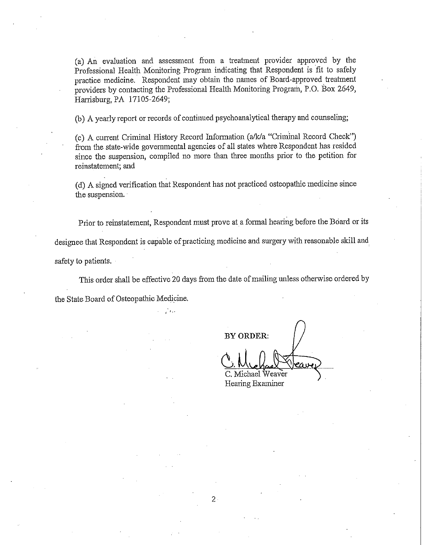(a) An evaluation aud assessment from a treatment provider approved by the Professional Health Monitoring Program indicating that Respondent is fit to safely practice medicine. Respondent may obtain the names of Board-approved treatment providers by contacting the Professional Health Monitoring Program, P.O. Box 2649, Harrisburg, PA 17105-2649;

(b) A yearly report or records of continued psychoaualytical therapy and counseling;

(c) A current Criminal History Record Information (a/k/a "Criminal Record Check") from the state-wide govenunental agencies of all states where Respondent has resided since the suspension, compiled no more thau three months prior to the petition for reinstatement; and

(d) A signed verification that Respondent has not practiced osteopathic medicine since the suspension.

Prior to reinstatement, Respondent must prove at a formal hearing before the Board or its

designee that Respondent is capable of practicing medicine and surgery with reasonable skill and

safety to patients.

This order shall be effective 20 days from the date of mailing unless otherwise ordered by

the State Board of Osteopathic Medicine.

'1 •.

**BY ORDER:** 

C. Michael Weaver Hearing Examiner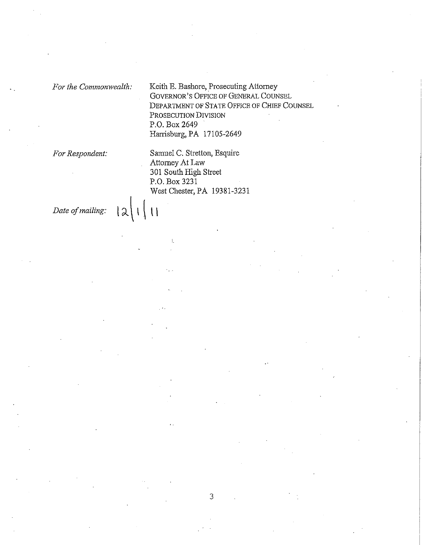*For the Commonwealth:* Keith E. Bashore, Prosecuting Attorney GOVERNOR'S OFFICE OF GENERAL COUNSEL DEPARTMENT OF STATE OFFICE OF CHIEF COUNSEL PROSECUTION DIVISION P.O. Box 2649 Harrisburg, PA 17105-2649

*For Respondent:* Samuel C. Stretton, Esquire Attorney At Law 301 South High Street P.O. Box 3231 West Chester, PA 19381-3231

*Date of mailing:*  $|\lambda| |\lambda|$